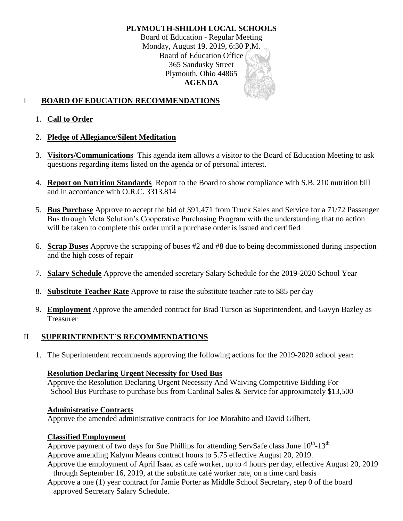# **PLYMOUTH-SHILOH LOCAL SCHOOLS**

Board of Education - Regular Meeting Monday, August 19, 2019, 6:30 P.M. Board of Education Office 365 Sandusky Street Plymouth, Ohio 44865 **AGENDA**

# I **BOARD OF EDUCATION RECOMMENDATIONS**

1. **Call to Order**

### 2. **Pledge of Allegiance/Silent Meditation**

- 3. **Visitors/Communications** This agenda item allows a visitor to the Board of Education Meeting to ask questions regarding items listed on the agenda or of personal interest.
- 4. **Report on Nutrition Standards** Report to the Board to show compliance with S.B. 210 nutrition bill and in accordance with O.R.C. 3313.814
- 5. **Bus Purchase** Approve to accept the bid of \$91,471 from Truck Sales and Service for a 71/72 Passenger Bus through Meta Solution's Cooperative Purchasing Program with the understanding that no action will be taken to complete this order until a purchase order is issued and certified
- 6. **Scrap Buses** Approve the scrapping of buses #2 and #8 due to being decommissioned during inspection and the high costs of repair
- 7. **Salary Schedule** Approve the amended secretary Salary Schedule for the 2019-2020 School Year
- 8. **Substitute Teacher Rate** Approve to raise the substitute teacher rate to \$85 per day
- 9. **Employment** Approve the amended contract for Brad Turson as Superintendent, and Gavyn Bazley as Treasurer

# II **SUPERINTENDENT'S RECOMMENDATIONS**

1. The Superintendent recommends approving the following actions for the 2019-2020 school year:

### **Resolution Declaring Urgent Necessity for Used Bus**

Approve the Resolution Declaring Urgent Necessity And Waiving Competitive Bidding For School Bus Purchase to purchase bus from Cardinal Sales & Service for approximately \$13,500

### **Administrative Contracts**

Approve the amended administrative contracts for Joe Morabito and David Gilbert.

### **Classified Employment**

Approve payment of two days for Sue Phillips for attending ServSafe class June  $10^{th}$ - $13^{th}$ Approve amending Kalynn Means contract hours to 5.75 effective August 20, 2019.

Approve the employment of April Isaac as café worker, up to 4 hours per day, effective August 20, 2019 through September 16, 2019, at the substitute café worker rate, on a time card basis

Approve a one (1) year contract for Jamie Porter as Middle School Secretary, step 0 of the board approved Secretary Salary Schedule.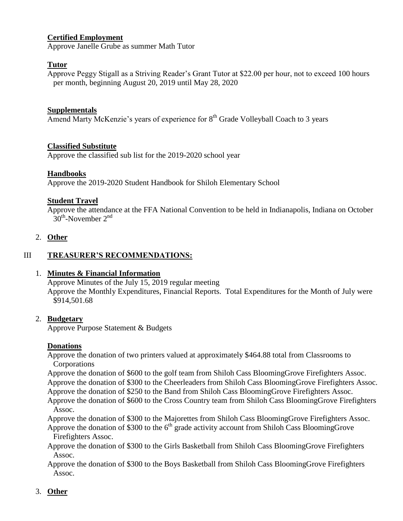## **Certified Employment**

Approve Janelle Grube as summer Math Tutor

### **Tutor**

Approve Peggy Stigall as a Striving Reader's Grant Tutor at \$22.00 per hour, not to exceed 100 hours per month, beginning August 20, 2019 until May 28, 2020

#### **Supplementals**

Amend Marty McKenzie's years of experience for 8<sup>th</sup> Grade Volleyball Coach to 3 years

#### **Classified Substitute**

Approve the classified sub list for the 2019-2020 school year

#### **Handbooks**

Approve the 2019-2020 Student Handbook for Shiloh Elementary School

#### **Student Travel**

Approve the attendance at the FFA National Convention to be held in Indianapolis, Indiana on October  $30<sup>th</sup>$ -November  $2<sup>nd</sup>$ 

#### 2. **Other**

### III **TREASURER'S RECOMMENDATIONS:**

### 1. **Minutes & Financial Information**

Approve Minutes of the July 15, 2019 regular meeting Approve the Monthly Expenditures, Financial Reports. Total Expenditures for the Month of July were \$914,501.68

#### 2. **Budgetary**

Approve Purpose Statement & Budgets

### **Donations**

Approve the donation of two printers valued at approximately \$464.88 total from Classrooms to Corporations

Approve the donation of \$600 to the golf team from Shiloh Cass BloomingGrove Firefighters Assoc. Approve the donation of \$300 to the Cheerleaders from Shiloh Cass BloomingGrove Firefighters Assoc. Approve the donation of \$250 to the Band from Shiloh Cass BloomingGrove Firefighters Assoc.

Approve the donation of \$600 to the Cross Country team from Shiloh Cass BloomingGrove Firefighters Assoc.

Approve the donation of \$300 to the Majorettes from Shiloh Cass BloomingGrove Firefighters Assoc. Approve the donation of \$300 to the  $6<sup>th</sup>$  grade activity account from Shiloh Cass BloomingGrove

Firefighters Assoc.

Approve the donation of \$300 to the Girls Basketball from Shiloh Cass BloomingGrove Firefighters Assoc.

Approve the donation of \$300 to the Boys Basketball from Shiloh Cass BloomingGrove Firefighters Assoc.

### 3. **Other**